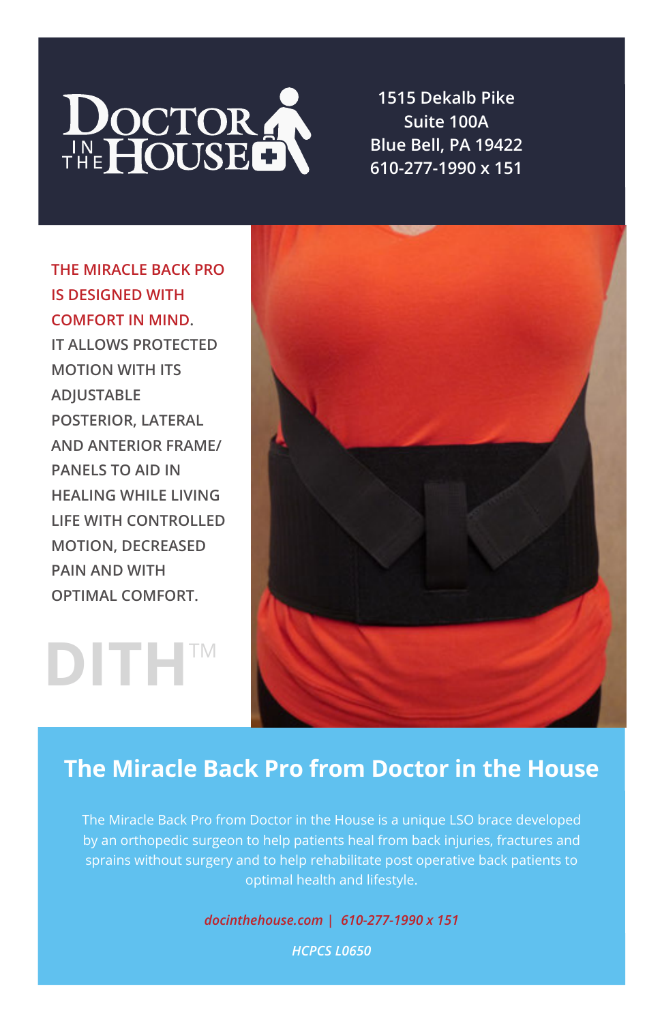

**1515 Dekalb Pike Suite 100A Blue Bell, PA 19422 610-277-1990 x 151**

**THE MIRACLE BACK PRO IS DESIGNED WITH COMFORT IN MIND. IT ALLOWS PROTECTED MOTION WITH ITS ADJUSTABLE POSTERIOR, LATERAL AND ANTERIOR FRAME/ PANELS TO AID IN HEALING WHILE LIVING LIFE WITH CONTROLLED MOTION, DECREASED PAIN AND WITH OPTIMAL COMFORT.**

**DITH**TM



## **The Miracle Back Pro from Doctor in the House**

The Miracle Back Pro from Doctor in the House is a unique LSO brace developed by an orthopedic surgeon to help patients heal from back injuries, fractures and sprains without surgery and to help rehabilitate post operative back patients to optimal health and lifestyle.

*docinthehouse.com | 610-277-1990 x 151*

*HCPCS L0650*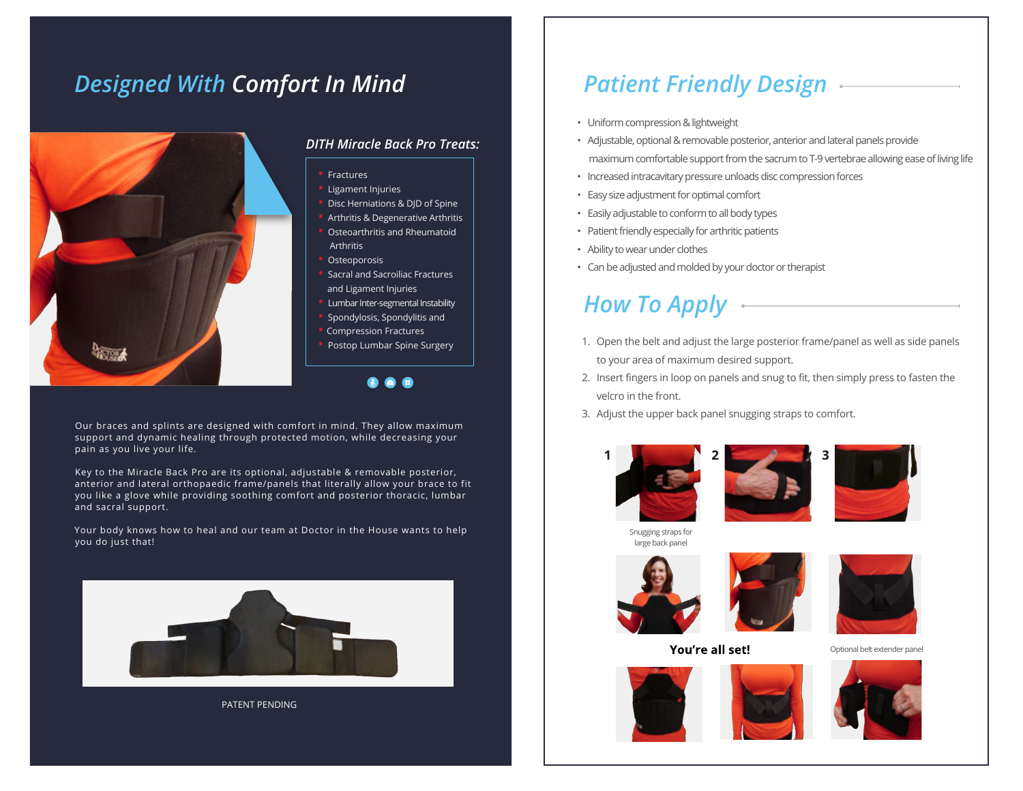# *Designed With Comfort In Mind*



### *DITH Miracle Back Pro Treats:*

- **•** Fractures
- **•** Ligament Injuries
- **•** Disc Herniations & DJD of Spine
- **•** Arthritis & Degenerative Arthritis
- **•** Osteoarthritis and Rheumatoid Arthritis
- **•** Osteoporosis
- **•** Sacral and Sacroiliac Fractures and Ligament Injuries
- **•** Lumbar Inter-segmental Instability
- **•** Spondylosis, Spondylitis and
- **•** Compression Fractures
- **•** Postop Lumbar Spine Surgery

Our braces and splints are designed with comfort in mind. They allow maximum support and dynamic healing through protected motion, while decreasing your pain as you live your life.

Key to the Miracle Back Pro are its optional, adjustable & removable posterior, anterior and lateral orthopaedic frame/panels that literally allow your brace to fit you like a glove while providing soothing comfort and posterior thoracic, lumbar and sacral support.

Your body knows how to heal and our team at Doctor in the House wants to help you do just that!



PATENT PENDING

# *Patient Friendly Design*

- Uniform compression & lightweight
- Adjustable, optional & removable posterior, anterior and lateral panels provide maximum comfortable support from the sacrum to T-9 vertebrae allowing ease of living life
- Increased intracavitary pressure unloads disc compression forces
- Easy size adjustment for optimal comfort
- Easily adjustable to conform to all body types
- Patient friendly especially for arthritic patients
- Ability to wear under clothes
- Can be adjusted and molded by your doctor or therapist

# *How To Apply*

- 1. Open the belt and adjust the large posterior frame/panel as well as side panels to your area of maximum desired support.
- 2. Insert fingers in loop on panels and snug to fit, then simply press to fasten the velcro in the front.
- 3. Adjust the upper back panel snugging straps to comfort.







Snugging straps for large back panel







You're all set!

Optional belt extender panel